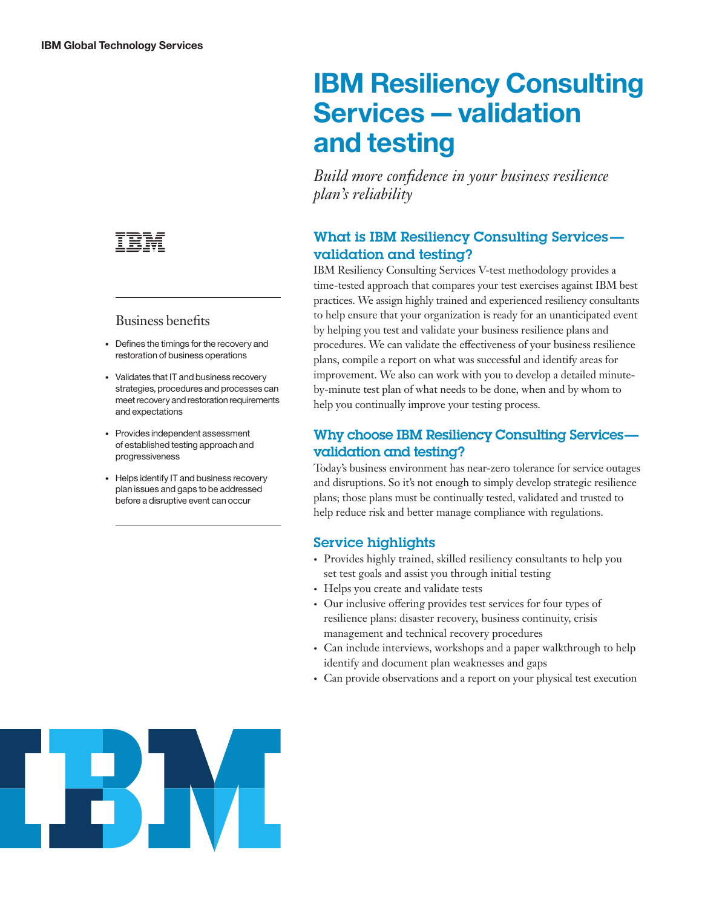

### Business benefits

- Defines the timings for the recovery and restoration of business operations
- Validates that IT and business recovery strategies, procedures and processes can meet recovery and restoration requirements and expectations
- Provides independent assessment of established testing approach and progressiveness
- Helps identify IT and business recovery plan issues and gaps to be addressed before a disruptive event can occur

# **IBM Resiliency Consulting Services — validation and testing**

*Build more confidence in your business resilience plan's reliability*

## What is IBM Resiliency Consulting Services validation and testing?

IBM Resiliency Consulting Services V-test methodology provides a time-tested approach that compares your test exercises against IBM best practices. We assign highly trained and experienced resiliency consultants to help ensure that your organization is ready for an unanticipated event by helping you test and validate your business resilience plans and procedures. We can validate the effectiveness of your business resilience plans, compile a report on what was successful and identify areas for improvement. We also can work with you to develop a detailed minuteby-minute test plan of what needs to be done, when and by whom to help you continually improve your testing process.

## Why choose IBM Resiliency Consulting Servicesvalidation and testing?

Today's business environment has near-zero tolerance for service outages and disruptions. So it's not enough to simply develop strategic resilience plans; those plans must be continually tested, validated and trusted to help reduce risk and better manage compliance with regulations.

### Service highlights

- Provides highly trained, skilled resiliency consultants to help you set test goals and assist you through initial testing
- Helps you create and validate tests
- Our inclusive offering provides test services for four types of resilience plans: disaster recovery, business continuity, crisis management and technical recovery procedures
- Can include interviews, workshops and a paper walkthrough to help identify and document plan weaknesses and gaps
- Can provide observations and a report on your physical test execution

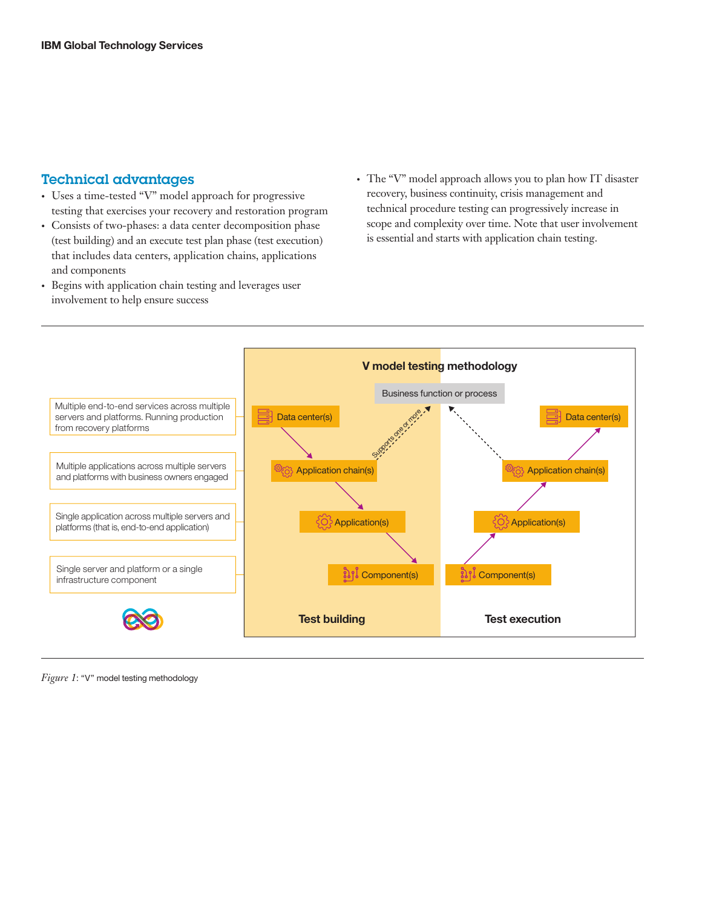#### Technical advantages

- Uses a time-tested "V" model approach for progressive testing that exercises your recovery and restoration program
- Consists of two-phases: a data center decomposition phase (test building) and an execute test plan phase (test execution) that includes data centers, application chains, applications and components
- Begins with application chain testing and leverages user involvement to help ensure success
- The "V" model approach allows you to plan how IT disaster recovery, business continuity, crisis management and technical procedure testing can progressively increase in scope and complexity over time. Note that user involvement is essential and starts with application chain testing.



*Figure 1*: "V" model testing methodology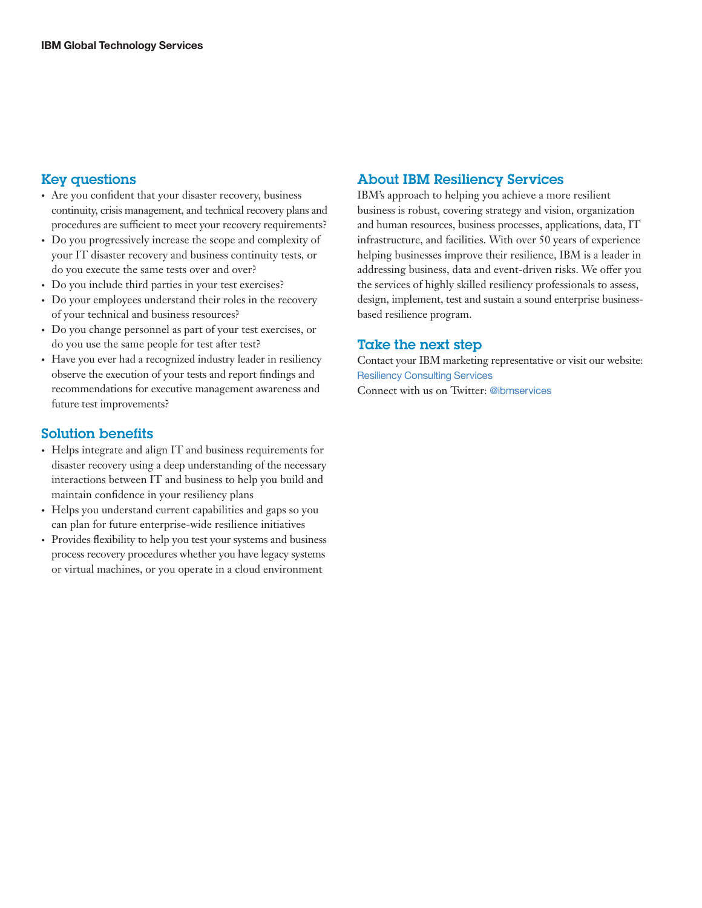#### Key questions

- Are you confident that your disaster recovery, business continuity, crisis management, and technical recovery plans and procedures are sufficient to meet your recovery requirements?
- Do you progressively increase the scope and complexity of your IT disaster recovery and business continuity tests, or do you execute the same tests over and over?
- Do you include third parties in your test exercises?
- Do your employees understand their roles in the recovery of your technical and business resources?
- Do you change personnel as part of your test exercises, or do you use the same people for test after test?
- Have you ever had a recognized industry leader in resiliency observe the execution of your tests and report findings and recommendations for executive management awareness and future test improvements?

#### Solution benefits

- Helps integrate and align IT and business requirements for disaster recovery using a deep understanding of the necessary interactions between IT and business to help you build and maintain confidence in your resiliency plans
- Helps you understand current capabilities and gaps so you can plan for future enterprise-wide resilience initiatives
- Provides flexibility to help you test your systems and business process recovery procedures whether you have legacy systems or virtual machines, or you operate in a cloud environment

#### About IBM Resiliency Services

IBM's approach to helping you achieve a more resilient business is robust, covering strategy and vision, organization and human resources, business processes, applications, data, IT infrastructure, and facilities. With over 50 years of experience helping businesses improve their resilience, IBM is a leader in addressing business, data and event-driven risks. We offer you the services of highly skilled resiliency professionals to assess, design, implement, test and sustain a sound enterprise businessbased resilience program.

#### Take the next step

Contact your IBM marketing representative or visit our website: [Resiliency Consulting Services](http://www-935.ibm.com/services/us/en/it-services/business-continuity/business-continuity-consulting/index.html)

Connect with us on Twitter: [@ibmservices](https://twitter.com/ibmservices)